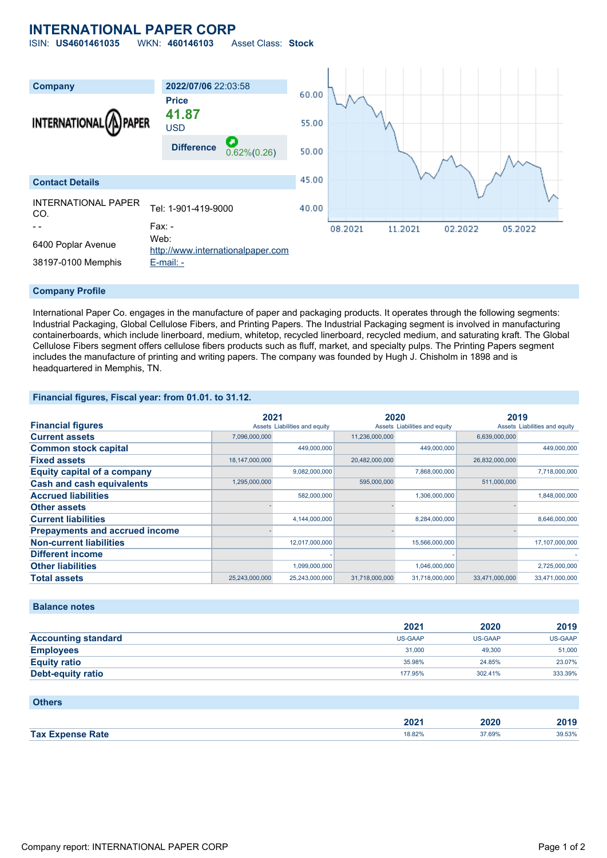# **INTERNATIONAL PAPER CORP**

ISIN: **US4601461035** WKN: **460146103** Asset Class: **Stock**



#### **Company Profile**

International Paper Co. engages in the manufacture of paper and packaging products. It operates through the following segments: Industrial Packaging, Global Cellulose Fibers, and Printing Papers. The Industrial Packaging segment is involved in manufacturing containerboards, which include linerboard, medium, whitetop, recycled linerboard, recycled medium, and saturating kraft. The Global Cellulose Fibers segment offers cellulose fibers products such as fluff, market, and specialty pulps. The Printing Papers segment includes the manufacture of printing and writing papers. The company was founded by Hugh J. Chisholm in 1898 and is headquartered in Memphis, TN.

### **Financial figures, Fiscal year: from 01.01. to 31.12.**

|                                       | 2021           |                               | 2020           |                               | 2019           |                               |
|---------------------------------------|----------------|-------------------------------|----------------|-------------------------------|----------------|-------------------------------|
| <b>Financial figures</b>              |                | Assets Liabilities and equity |                | Assets Liabilities and equity |                | Assets Liabilities and equity |
| <b>Current assets</b>                 | 7,096,000,000  |                               | 11,236,000,000 |                               | 6.639.000.000  |                               |
| <b>Common stock capital</b>           |                | 449.000.000                   |                | 449,000,000                   |                | 449.000.000                   |
| <b>Fixed assets</b>                   | 18,147,000,000 |                               | 20,482,000,000 |                               | 26,832,000,000 |                               |
| <b>Equity capital of a company</b>    |                | 9,082,000,000                 |                | 7,868,000,000                 |                | 7,718,000,000                 |
| <b>Cash and cash equivalents</b>      | 1,295,000,000  |                               | 595,000,000    |                               | 511,000,000    |                               |
| <b>Accrued liabilities</b>            |                | 582,000,000                   |                | 1,306,000,000                 |                | 1,848,000,000                 |
| <b>Other assets</b>                   |                |                               |                |                               |                |                               |
| <b>Current liabilities</b>            |                | 4,144,000,000                 |                | 8,284,000,000                 |                | 8,646,000,000                 |
| <b>Prepayments and accrued income</b> |                |                               |                |                               |                |                               |
| <b>Non-current liabilities</b>        |                | 12,017,000,000                |                | 15,566,000,000                |                | 17,107,000,000                |
| <b>Different income</b>               |                |                               |                |                               |                |                               |
| <b>Other liabilities</b>              |                | 1,099,000,000                 |                | 1,046,000,000                 |                | 2,725,000,000                 |
| <b>Total assets</b>                   | 25,243,000,000 | 25,243,000,000                | 31,718,000,000 | 31,718,000,000                | 33,471,000,000 | 33,471,000,000                |

#### **Balance notes**

|                            | 2021           | 2020           | 2019           |
|----------------------------|----------------|----------------|----------------|
| <b>Accounting standard</b> | <b>US-GAAP</b> | <b>US-GAAP</b> | <b>US-GAAP</b> |
| <b>Employees</b>           | 31,000         | 49,300         | 51,000         |
| <b>Equity ratio</b>        | 35.98%         | 24.85%         | 23.07%         |
| Debt-equity ratio          | 177.95%        | 302.41%        | 333.39%        |

#### **Others**

|                              | nnn.<br>ZUZ | 2020   | 2010<br>20 I J |
|------------------------------|-------------|--------|----------------|
| <b>Tax E</b><br>Expense Rate | 18.82%      | 37.69% | 39.53%         |